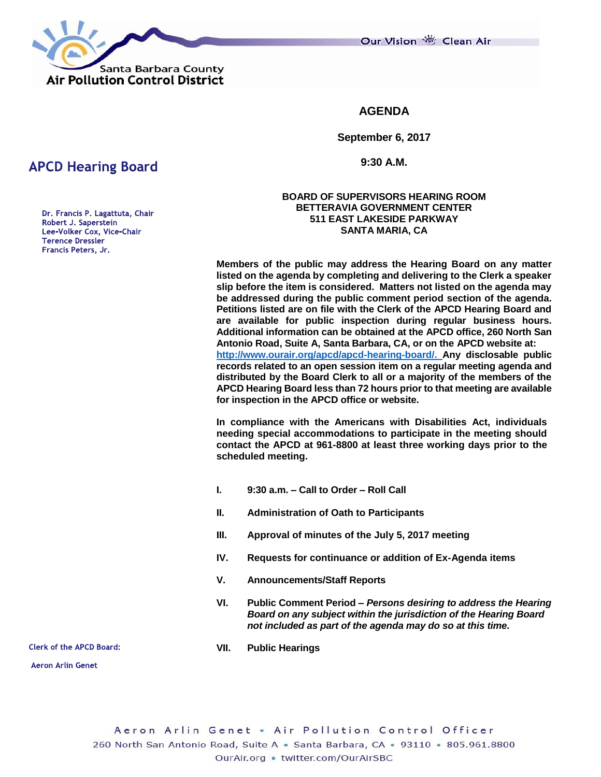Our Vision 卷 Clean Air



**AGENDA**

**September 6, 2017**

**9:30 A.M.**

### **BOARD OF SUPERVISORS HEARING ROOM BETTERAVIA GOVERNMENT CENTER 511 EAST LAKESIDE PARKWAY SANTA MARIA, CA**

**Members of the public may address the Hearing Board on any matter listed on the agenda by completing and delivering to the Clerk a speaker slip before the item is considered. Matters not listed on the agenda may be addressed during the public comment period section of the agenda. Petitions listed are on file with the Clerk of the APCD Hearing Board and are available for public inspection during regular business hours. Additional information can be obtained at the APCD office, 260 North San Antonio Road, Suite A, Santa Barbara, CA, or on the APCD website at: [http://www.ourair.org/apcd/apcd-hearing-board/.](http://www.ourair.org/apcd/apcd-hearing-board/) Any disclosable public records related to an open session item on a regular meeting agenda and distributed by the Board Clerk to all or a majority of the members of the APCD Hearing Board less than 72 hours prior to that meeting are available for inspection in the APCD office or website.**

**In compliance with the Americans with Disabilities Act, individuals needing special accommodations to participate in the meeting should contact the APCD at 961-8800 at least three working days prior to the scheduled meeting.**

- **I. 9:30 a.m. – Call to Order – Roll Call**
- **II. Administration of Oath to Participants**
- **III. Approval of minutes of the July 5, 2017 meeting**
- **IV. Requests for continuance or addition of Ex-Agenda items**
- **V. Announcements/Staff Reports**
- **VI. Public Comment Period –** *Persons desiring to address the Hearing Board on any subject within the jurisdiction of the Hearing Board not included as part of the agenda may do so at this time.*

**Clerk of the APCD Board:** 

**VII. Public Hearings**

**Aeron Arlin Genet** 

# **APCD Hearing Board**

Dr. Francis P. Lagattuta, Chair Robert J. Saperstein Lee-Volker Cox, Vice-Chair **Terence Dressler** Francis Peters, Jr.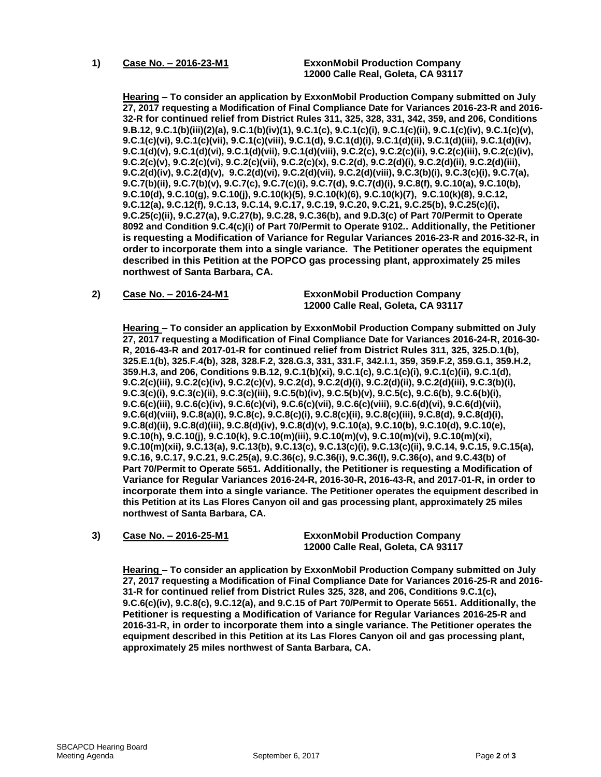**1) Case No. – 2016-23-M1 ExxonMobil Production Company 12000 Calle Real, Goleta, CA 93117**

**Hearing – To consider an application by ExxonMobil Production Company submitted on July 27, 2017 requesting a Modification of Final Compliance Date for Variances 2016-23-R and 2016- 32-R for continued relief from District Rules 311, 325, 328, 331, 342, 359, and 206, Conditions 9.B.12, 9.C.1(b)(iii)(2)(a), 9.C.1(b)(iv)(1), 9.C.1(c), 9.C.1(c)(i), 9.C.1(c)(ii), 9.C.1(c)(iv), 9.C.1(c)(v), 9.C.1(c)(vi), 9.C.1(c)(vii), 9.C.1(c)(viii), 9.C.1(d), 9.C.1(d)(i), 9.C.1(d)(ii), 9.C.1(d)(iii), 9.C.1(d)(iv), 9.C.1(d)(v), 9.C.1(d)(vi), 9.C.1(d)(vii), 9.C.1(d)(viii), 9.C.2(c), 9.C.2(c)(ii), 9.C.2(c)(iii), 9.C.2(c)(iv), 9.C.2(c)(v), 9.C.2(c)(vi), 9.C.2(c)(vii), 9.C.2(c)(x), 9.C.2(d), 9.C.2(d)(i), 9.C.2(d)(ii), 9.C.2(d)(iii), 9.C.2(d)(iv), 9.C.2(d)(v), 9.C.2(d)(vi), 9.C.2(d)(vii), 9.C.2(d)(viii), 9.C.3(b)(i), 9.C.3(c)(i), 9.C.7(a), 9.C.7(b)(ii), 9.C.7(b)(v), 9.C.7(c), 9.C.7(c)(i), 9.C.7(d), 9.C.7(d)(i), 9.C.8(f), 9.C.10(a), 9.C.10(b), 9.C.10(d), 9.C.10(g), 9.C.10(j), 9.C.10(k)(5), 9.C.10(k)(6), 9.C.10(k)(7), 9.C.10(k)(8), 9.C.12, 9.C.12(a), 9.C.12(f), 9.C.13, 9.C.14, 9.C.17, 9.C.19, 9.C.20, 9.C.21, 9.C.25(b), 9.C.25(c)(i), 9.C.25(c)(ii), 9.C.27(a), 9.C.27(b), 9.C.28, 9.C.36(b), and 9.D.3(c) of Part 70/Permit to Operate 8092 and Condition 9.C.4(c)(i) of Part 70/Permit to Operate 9102.. Additionally, the Petitioner is requesting a Modification of Variance for Regular Variances 2016-23-R and 2016-32-R, in order to incorporate them into a single variance. The Petitioner operates the equipment described in this Petition at the POPCO gas processing plant, approximately 25 miles northwest of Santa Barbara, CA.**

**2) Case No. – 2016-24-M1 ExxonMobil Production Company 12000 Calle Real, Goleta, CA 93117**

**Hearing – To consider an application by ExxonMobil Production Company submitted on July 27, 2017 requesting a Modification of Final Compliance Date for Variances 2016-24-R, 2016-30- R, 2016-43-R and 2017-01-R for continued relief from District Rules 311, 325, 325.D.1(b), 325.E.1(b), 325.F.4(b), 328, 328.F.2, 328.G.3, 331, 331.F, 342.I.1, 359, 359.F.2, 359.G.1, 359.H.2, 359.H.3, and 206, Conditions 9.B.12, 9.C.1(b)(xi), 9.C.1(c), 9.C.1(c)(i), 9.C.1(c)(ii), 9.C.1(d), 9.C.2(c)(iii), 9.C.2(c)(iv), 9.C.2(c)(v), 9.C.2(d), 9.C.2(d)(i), 9.C.2(d)(ii), 9.C.2(d)(iii), 9.C.3(b)(i), 9.C.3(c)(i), 9.C.3(c)(ii), 9.C.3(c)(iii), 9.C.5(b)(iv), 9.C.5(b)(v), 9.C.5(c), 9.C.6(b), 9.C.6(b)(i), 9.C.6(c)(iii), 9.C.6(c)(iv), 9.C.6(c)(vi), 9.C.6(c)(vii), 9.C.6(c)(viii), 9.C.6(d)(vi), 9.C.6(d)(vii), 9.C.6(d)(viii), 9.C.8(a)(i), 9.C.8(c), 9.C.8(c)(i), 9.C.8(c)(ii), 9.C.8(c)(iii), 9.C.8(d), 9.C.8(d)(i), 9.C.8(d)(ii), 9.C.8(d)(iii), 9.C.8(d)(iv), 9.C.8(d)(v), 9.C.10(a), 9.C.10(b), 9.C.10(d), 9.C.10(e), 9.C.10(h), 9.C.10(j), 9.C.10(k), 9.C.10(m)(iii), 9.C.10(m)(v), 9.C.10(m)(vi), 9.C.10(m)(xi), 9.C.10(m)(xii), 9.C.13(a), 9.C.13(b), 9.C.13(c), 9.C.13(c)(i), 9.C.13(c)(ii), 9.C.14, 9.C.15, 9.C.15(a), 9.C.16, 9.C.17, 9.C.21, 9.C.25(a), 9.C.36(c), 9.C.36(i), 9.C.36(l), 9.C.36(o), and 9.C.43(b) of Part 70/Permit to Operate 5651. Additionally, the Petitioner is requesting a Modification of Variance for Regular Variances 2016-24-R, 2016-30-R, 2016-43-R, and 2017-01-R, in order to incorporate them into a single variance. The Petitioner operates the equipment described in this Petition at its Las Flores Canyon oil and gas processing plant, approximately 25 miles northwest of Santa Barbara, CA.**

**3) Case No. – 2016-25-M1 ExxonMobil Production Company 12000 Calle Real, Goleta, CA 93117**

**Hearing – To consider an application by ExxonMobil Production Company submitted on July 27, 2017 requesting a Modification of Final Compliance Date for Variances 2016-25-R and 2016- 31-R for continued relief from District Rules 325, 328, and 206, Conditions 9.C.1(c), 9.C.6(c)(iv), 9.C.8(c), 9.C.12(a), and 9.C.15 of Part 70/Permit to Operate 5651. Additionally, the Petitioner is requesting a Modification of Variance for Regular Variances 2016-25-R and 2016-31-R, in order to incorporate them into a single variance. The Petitioner operates the equipment described in this Petition at its Las Flores Canyon oil and gas processing plant, approximately 25 miles northwest of Santa Barbara, CA.**